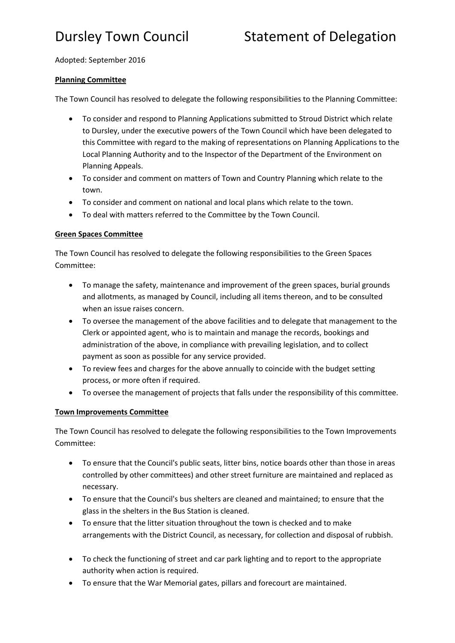# Adopted: September 2016

# **Planning Committee**

The Town Council has resolved to delegate the following responsibilities to the Planning Committee:

- To consider and respond to Planning Applications submitted to Stroud District which relate to Dursley, under the executive powers of the Town Council which have been delegated to this Committee with regard to the making of representations on Planning Applications to the Local Planning Authority and to the Inspector of the Department of the Environment on Planning Appeals.
- To consider and comment on matters of Town and Country Planning which relate to the town.
- To consider and comment on national and local plans which relate to the town.
- To deal with matters referred to the Committee by the Town Council.

# **Green Spaces Committee**

The Town Council has resolved to delegate the following responsibilities to the Green Spaces Committee:

- To manage the safety, maintenance and improvement of the green spaces, burial grounds and allotments, as managed by Council, including all items thereon, and to be consulted when an issue raises concern.
- To oversee the management of the above facilities and to delegate that management to the Clerk or appointed agent, who is to maintain and manage the records, bookings and administration of the above, in compliance with prevailing legislation, and to collect payment as soon as possible for any service provided.
- To review fees and charges for the above annually to coincide with the budget setting process, or more often if required.
- To oversee the management of projects that falls under the responsibility of this committee.

# **Town Improvements Committee**

The Town Council has resolved to delegate the following responsibilities to the Town Improvements Committee:

- To ensure that the Council's public seats, litter bins, notice boards other than those in areas controlled by other committees) and other street furniture are maintained and replaced as necessary.
- To ensure that the Council's bus shelters are cleaned and maintained; to ensure that the glass in the shelters in the Bus Station is cleaned.
- To ensure that the litter situation throughout the town is checked and to make arrangements with the District Council, as necessary, for collection and disposal of rubbish.
- To check the functioning of street and car park lighting and to report to the appropriate authority when action is required.
- To ensure that the War Memorial gates, pillars and forecourt are maintained.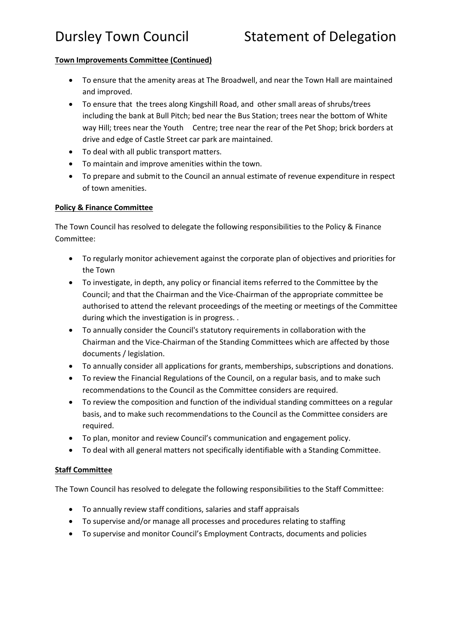# Dursley Town Council Statement of Delegation

### **Town Improvements Committee (Continued)**

- To ensure that the amenity areas at The Broadwell, and near the Town Hall are maintained and improved.
- To ensure that the trees along Kingshill Road, and other small areas of shrubs/trees including the bank at Bull Pitch; bed near the Bus Station; trees near the bottom of White way Hill; trees near the Youth Centre; tree near the rear of the Pet Shop; brick borders at drive and edge of Castle Street car park are maintained.
- To deal with all public transport matters.
- To maintain and improve amenities within the town.
- To prepare and submit to the Council an annual estimate of revenue expenditure in respect of town amenities.

# **Policy & Finance Committee**

The Town Council has resolved to delegate the following responsibilities to the Policy & Finance Committee:

- To regularly monitor achievement against the corporate plan of objectives and priorities for the Town
- To investigate, in depth, any policy or financial items referred to the Committee by the Council; and that the Chairman and the Vice-Chairman of the appropriate committee be authorised to attend the relevant proceedings of the meeting or meetings of the Committee during which the investigation is in progress. .
- To annually consider the Council's statutory requirements in collaboration with the Chairman and the Vice-Chairman of the Standing Committees which are affected by those documents / legislation.
- To annually consider all applications for grants, memberships, subscriptions and donations.
- To review the Financial Regulations of the Council, on a regular basis, and to make such recommendations to the Council as the Committee considers are required.
- To review the composition and function of the individual standing committees on a regular basis, and to make such recommendations to the Council as the Committee considers are required.
- To plan, monitor and review Council's communication and engagement policy.
- To deal with all general matters not specifically identifiable with a Standing Committee.

### **Staff Committee**

The Town Council has resolved to delegate the following responsibilities to the Staff Committee:

- To annually review staff conditions, salaries and staff appraisals
- To supervise and/or manage all processes and procedures relating to staffing
- To supervise and monitor Council's Employment Contracts, documents and policies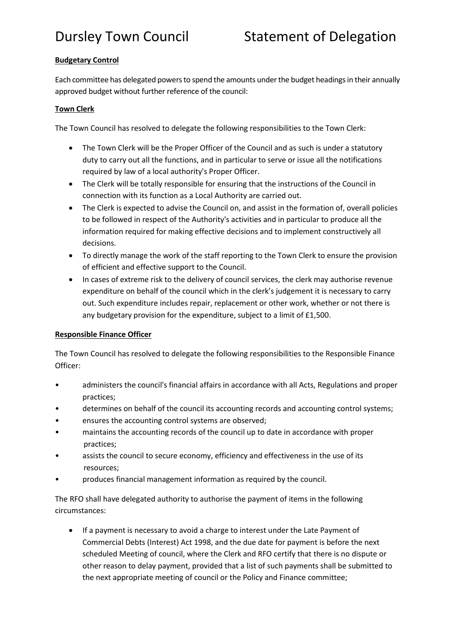# Dursley Town Council Statement of Delegation

# **Budgetary Control**

Each committee has delegated powers to spend the amounts under the budget headings in their annually approved budget without further reference of the council:

### **Town Clerk**

The Town Council has resolved to delegate the following responsibilities to the Town Clerk:

- The Town Clerk will be the Proper Officer of the Council and as such is under a statutory duty to carry out all the functions, and in particular to serve or issue all the notifications required by law of a local authority's Proper Officer.
- The Clerk will be totally responsible for ensuring that the instructions of the Council in connection with its function as a Local Authority are carried out.
- The Clerk is expected to advise the Council on, and assist in the formation of, overall policies to be followed in respect of the Authority's activities and in particular to produce all the information required for making effective decisions and to implement constructively all decisions.
- To directly manage the work of the staff reporting to the Town Clerk to ensure the provision of efficient and effective support to the Council.
- In cases of extreme risk to the delivery of council services, the clerk may authorise revenue expenditure on behalf of the council which in the clerk's judgement it is necessary to carry out. Such expenditure includes repair, replacement or other work, whether or not there is any budgetary provision for the expenditure, subject to a limit of £1,500.

# **Responsible Finance Officer**

The Town Council has resolved to delegate the following responsibilities to the Responsible Finance Officer:

- administers the council's financial affairs in accordance with all Acts, Regulations and proper practices;
- determines on behalf of the council its accounting records and accounting control systems;
- ensures the accounting control systems are observed;
- maintains the accounting records of the council up to date in accordance with proper practices;
- assists the council to secure economy, efficiency and effectiveness in the use of its resources;
- produces financial management information as required by the council.

The RFO shall have delegated authority to authorise the payment of items in the following circumstances:

 If a payment is necessary to avoid a charge to interest under the Late Payment of Commercial Debts (Interest) Act 1998, and the due date for payment is before the next scheduled Meeting of council, where the Clerk and RFO certify that there is no dispute or other reason to delay payment, provided that a list of such payments shall be submitted to the next appropriate meeting of council or the Policy and Finance committee;